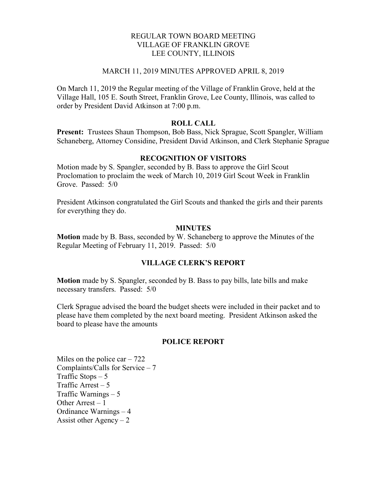# REGULAR TOWN BOARD MEETING VILLAGE OF FRANKLIN GROVE LEE COUNTY, ILLINOIS

### MARCH 11, 2019 MINUTES APPROVED APRIL 8, 2019

On March 11, 2019 the Regular meeting of the Village of Franklin Grove, held at the Village Hall, 105 E. South Street, Franklin Grove, Lee County, Illinois, was called to order by President David Atkinson at 7:00 p.m.

## ROLL CALL

Present: Trustees Shaun Thompson, Bob Bass, Nick Sprague, Scott Spangler, William Schaneberg, Attorney Considine, President David Atkinson, and Clerk Stephanie Sprague

## RECOGNITION OF VISITORS

Motion made by S. Spangler, seconded by B. Bass to approve the Girl Scout Proclomation to proclaim the week of March 10, 2019 Girl Scout Week in Franklin Grove. Passed: 5/0

President Atkinson congratulated the Girl Scouts and thanked the girls and their parents for everything they do.

#### MINUTES

Motion made by B. Bass, seconded by W. Schaneberg to approve the Minutes of the Regular Meeting of February 11, 2019. Passed: 5/0

### VILLAGE CLERK'S REPORT

Motion made by S. Spangler, seconded by B. Bass to pay bills, late bills and make necessary transfers. Passed: 5/0

Clerk Sprague advised the board the budget sheets were included in their packet and to please have them completed by the next board meeting. President Atkinson asked the board to please have the amounts

### POLICE REPORT

Miles on the police car  $-722$ Complaints/Calls for Service – 7 Traffic Stops  $-5$ Traffic Arrest  $-5$ Traffic Warnings – 5 Other Arrest  $-1$ Ordinance Warnings – 4 Assist other Agency  $-2$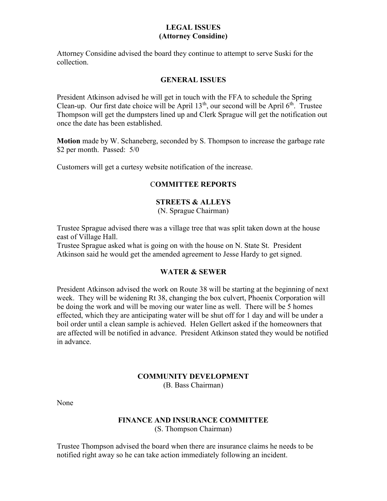# LEGAL ISSUES (Attorney Considine)

Attorney Considine advised the board they continue to attempt to serve Suski for the collection.

## GENERAL ISSUES

President Atkinson advised he will get in touch with the FFA to schedule the Spring Clean-up. Our first date choice will be April  $13<sup>th</sup>$ , our second will be April  $6<sup>th</sup>$ . Trustee Thompson will get the dumpsters lined up and Clerk Sprague will get the notification out once the date has been established.

Motion made by W. Schaneberg, seconded by S. Thompson to increase the garbage rate \$2 per month. Passed: 5/0

Customers will get a curtesy website notification of the increase.

# COMMITTEE REPORTS

# STREETS & ALLEYS

(N. Sprague Chairman)

Trustee Sprague advised there was a village tree that was split taken down at the house east of Village Hall.

Trustee Sprague asked what is going on with the house on N. State St. President Atkinson said he would get the amended agreement to Jesse Hardy to get signed.

### WATER & SEWER

President Atkinson advised the work on Route 38 will be starting at the beginning of next week. They will be widening Rt 38, changing the box culvert, Phoenix Corporation will be doing the work and will be moving our water line as well. There will be 5 homes effected, which they are anticipating water will be shut off for 1 day and will be under a boil order until a clean sample is achieved. Helen Gellert asked if the homeowners that are affected will be notified in advance. President Atkinson stated they would be notified in advance.

# COMMUNITY DEVELOPMENT

(B. Bass Chairman)

None

### FINANCE AND INSURANCE COMMITTEE (S. Thompson Chairman)

Trustee Thompson advised the board when there are insurance claims he needs to be notified right away so he can take action immediately following an incident.